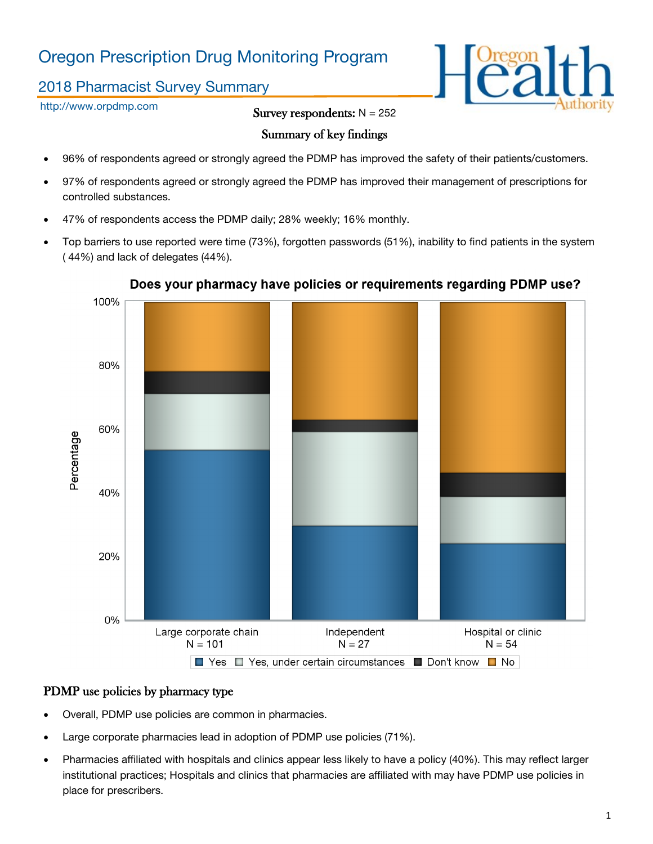# Oregon Prescription Drug Monitoring Program

# 2018 Pharmacist Survey Summary

http://www.orpdmp.com

Survey respondents:  $N = 252$ 

## Summary of key findings

- 96% of respondents agreed or strongly agreed the PDMP has improved the safety of their patients/customers.
- 97% of respondents agreed or strongly agreed the PDMP has improved their management of prescriptions for controlled substances.
- 47% of respondents access the PDMP daily; 28% weekly; 16% monthly.
- Top barriers to use reported were time (73%), forgotten passwords (51%), inability to find patients in the system ( 44%) and lack of delegates (44%).



## Does your pharmacy have policies or requirements regarding PDMP use?

## PDMP use policies by pharmacy type

- Overall, PDMP use policies are common in pharmacies.
- Large corporate pharmacies lead in adoption of PDMP use policies (71%).
- Pharmacies affiliated with hospitals and clinics appear less likely to have a policy (40%). This may reflect larger institutional practices; Hospitals and clinics that pharmacies are affiliated with may have PDMP use policies in place for prescribers.